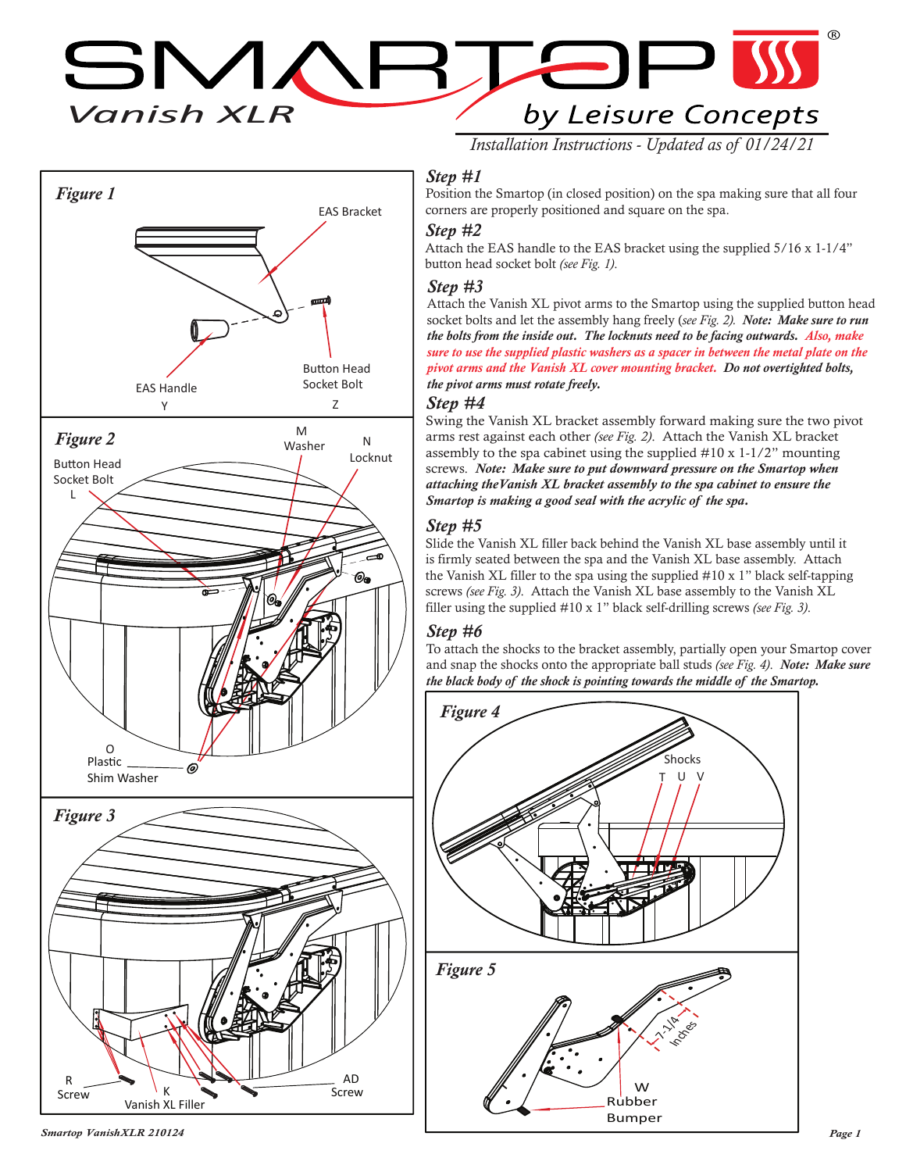*Vanish XLR*  $\blacksquare$  $\overline{\phantom{a}}$ by Leisure Concepts



# *Installation Instructions - Updated as of 01/24/21*

#### *Step #1*

Position the Smartop (in closed position) on the spa making sure that all four corners are properly positioned and square on the spa.

#### *Step #2*

Attach the EAS handle to the EAS bracket using the supplied 5/16 x 1-1/4" button head socket bolt *(see Fig. 1)*.

#### *Step #3*

Attach the Vanish XL pivot arms to the Smartop using the supplied button head socket bolts and let the assembly hang freely (*see Fig. 2). Note: Make sure to run the bolts from the inside out. The locknuts need to be facing outwards. Also, make sure to use the supplied plastic washers as a spacer in between the metal plate on the pivot arms and the Vanish XL cover mounting bracket. Do not overtighted bolts, the pivot arms must rotate freely.*

#### *Step #4*

Swing the Vanish XL bracket assembly forward making sure the two pivot arms rest against each other *(see Fig. 2)*. Attach the Vanish XL bracket assembly to the spa cabinet using the supplied #10 x 1-1/2" mounting screws. *Note: Make sure to put downward pressure on the Smartop when attaching theVanish XL bracket assembly to the spa cabinet to ensure the Smartop is making a good seal with the acrylic of the spa.*

#### *Step #5*

Slide the Vanish XL filler back behind the Vanish XL base assembly until it is firmly seated between the spa and the Vanish XL base assembly. Attach the Vanish XL filler to the spa using the supplied #10 x 1" black self-tapping screws *(see Fig. 3)*. Attach the Vanish XL base assembly to the Vanish XL filler using the supplied #10 x 1" black self-drilling screws *(see Fig. 3)*.

#### *Step #6*

To attach the shocks to the bracket assembly, partially open your Smartop cover and snap the shocks onto the appropriate ball studs *(see Fig. 4)*. *Note: Make sure the black body of the shock is pointing towards the middle of the Smartop.*